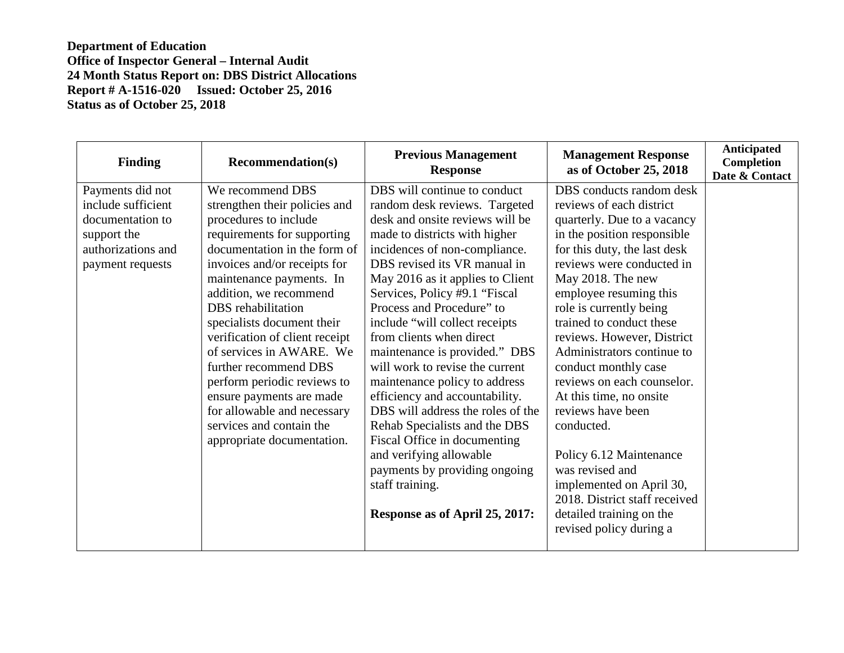| <b>Finding</b>                                                                                                      | <b>Recommendation(s)</b>                                                                                                                                                                                                                                                                                                                                                                                                                                                                                                       | <b>Previous Management</b><br><b>Response</b>                                                                                                                                                                                                                                                                                                                                                                                                                                                                                                                                                                                                                                                                                     | <b>Management Response</b><br>as of October 25, 2018                                                                                                                                                                                                                                                                                                                                                                                                                                                                                                                                                                                    | <b>Anticipated</b><br><b>Completion</b><br>Date & Contact |
|---------------------------------------------------------------------------------------------------------------------|--------------------------------------------------------------------------------------------------------------------------------------------------------------------------------------------------------------------------------------------------------------------------------------------------------------------------------------------------------------------------------------------------------------------------------------------------------------------------------------------------------------------------------|-----------------------------------------------------------------------------------------------------------------------------------------------------------------------------------------------------------------------------------------------------------------------------------------------------------------------------------------------------------------------------------------------------------------------------------------------------------------------------------------------------------------------------------------------------------------------------------------------------------------------------------------------------------------------------------------------------------------------------------|-----------------------------------------------------------------------------------------------------------------------------------------------------------------------------------------------------------------------------------------------------------------------------------------------------------------------------------------------------------------------------------------------------------------------------------------------------------------------------------------------------------------------------------------------------------------------------------------------------------------------------------------|-----------------------------------------------------------|
| Payments did not<br>include sufficient<br>documentation to<br>support the<br>authorizations and<br>payment requests | We recommend DBS<br>strengthen their policies and<br>procedures to include<br>requirements for supporting<br>documentation in the form of<br>invoices and/or receipts for<br>maintenance payments. In<br>addition, we recommend<br>DBS rehabilitation<br>specialists document their<br>verification of client receipt<br>of services in AWARE. We<br>further recommend DBS<br>perform periodic reviews to<br>ensure payments are made<br>for allowable and necessary<br>services and contain the<br>appropriate documentation. | DBS will continue to conduct<br>random desk reviews. Targeted<br>desk and onsite reviews will be<br>made to districts with higher<br>incidences of non-compliance.<br>DBS revised its VR manual in<br>May 2016 as it applies to Client<br>Services, Policy #9.1 "Fiscal<br>Process and Procedure" to<br>include "will collect receipts"<br>from clients when direct<br>maintenance is provided." DBS<br>will work to revise the current<br>maintenance policy to address<br>efficiency and accountability.<br>DBS will address the roles of the<br>Rehab Specialists and the DBS<br>Fiscal Office in documenting<br>and verifying allowable<br>payments by providing ongoing<br>staff training.<br>Response as of April 25, 2017: | DBS conducts random desk<br>reviews of each district<br>quarterly. Due to a vacancy<br>in the position responsible<br>for this duty, the last desk<br>reviews were conducted in<br>May 2018. The new<br>employee resuming this<br>role is currently being<br>trained to conduct these<br>reviews. However, District<br>Administrators continue to<br>conduct monthly case<br>reviews on each counselor.<br>At this time, no onsite<br>reviews have been<br>conducted.<br>Policy 6.12 Maintenance<br>was revised and<br>implemented on April 30,<br>2018. District staff received<br>detailed training on the<br>revised policy during a |                                                           |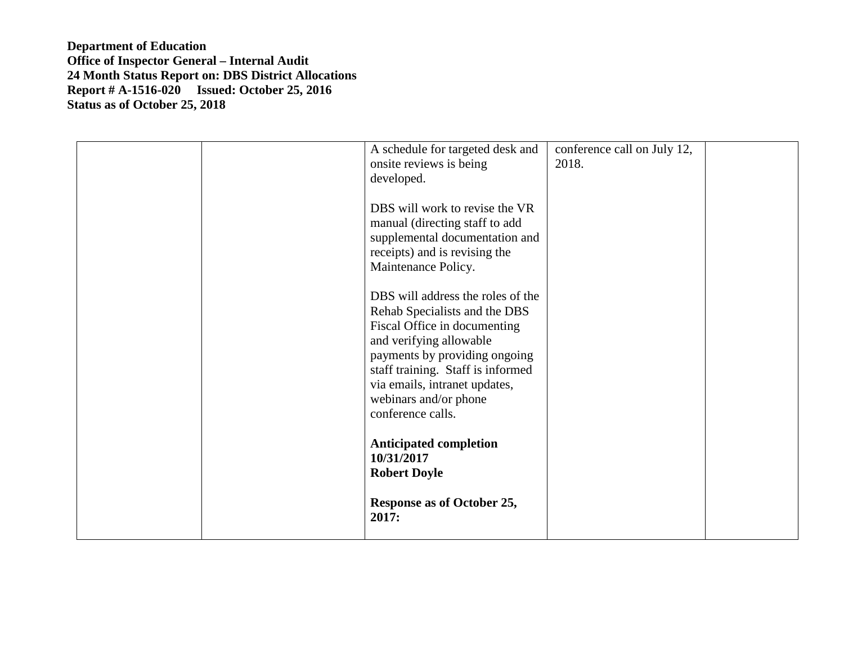|  | A schedule for targeted desk and<br>onsite reviews is being<br>developed.<br>DBS will work to revise the VR<br>manual (directing staff to add<br>supplemental documentation and<br>receipts) and is revising the<br>Maintenance Policy.<br>DBS will address the roles of the<br>Rehab Specialists and the DBS<br>Fiscal Office in documenting<br>and verifying allowable<br>payments by providing ongoing<br>staff training. Staff is informed | conference call on July 12,<br>2018. |  |
|--|------------------------------------------------------------------------------------------------------------------------------------------------------------------------------------------------------------------------------------------------------------------------------------------------------------------------------------------------------------------------------------------------------------------------------------------------|--------------------------------------|--|
|  | via emails, intranet updates,<br>webinars and/or phone<br>conference calls.                                                                                                                                                                                                                                                                                                                                                                    |                                      |  |
|  | <b>Anticipated completion</b><br>10/31/2017<br><b>Robert Doyle</b>                                                                                                                                                                                                                                                                                                                                                                             |                                      |  |
|  | Response as of October 25,<br>2017:                                                                                                                                                                                                                                                                                                                                                                                                            |                                      |  |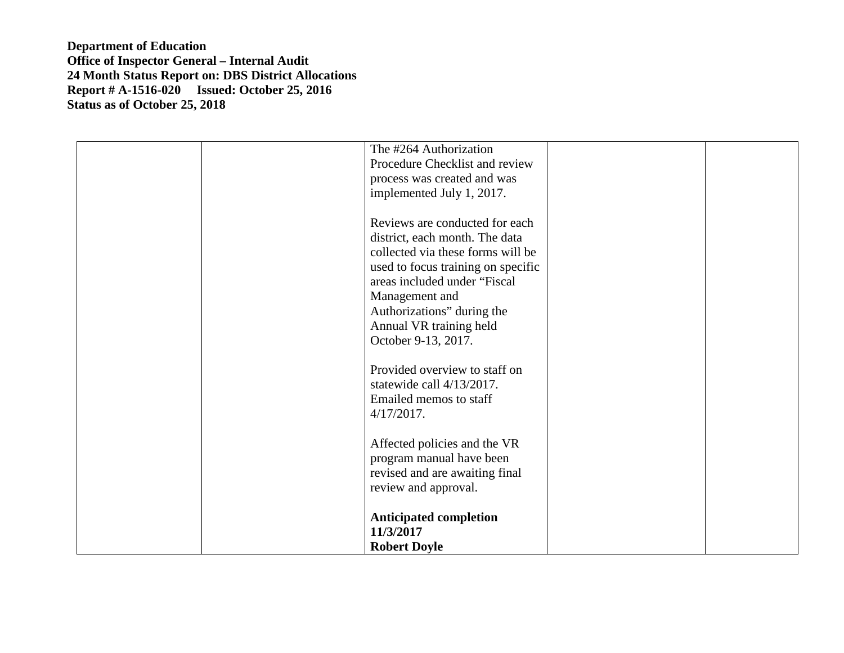| The #264 Authorization<br>Procedure Checklist and review<br>process was created and was<br>implemented July 1, 2017.                                                                                                                                                          |  |
|-------------------------------------------------------------------------------------------------------------------------------------------------------------------------------------------------------------------------------------------------------------------------------|--|
| Reviews are conducted for each<br>district, each month. The data<br>collected via these forms will be<br>used to focus training on specific<br>areas included under "Fiscal<br>Management and<br>Authorizations" during the<br>Annual VR training held<br>October 9-13, 2017. |  |
| Provided overview to staff on<br>statewide call 4/13/2017.<br>Emailed memos to staff<br>$4/17/2017$ .                                                                                                                                                                         |  |
| Affected policies and the VR<br>program manual have been<br>revised and are awaiting final<br>review and approval.                                                                                                                                                            |  |
| <b>Anticipated completion</b><br>11/3/2017<br><b>Robert Doyle</b>                                                                                                                                                                                                             |  |